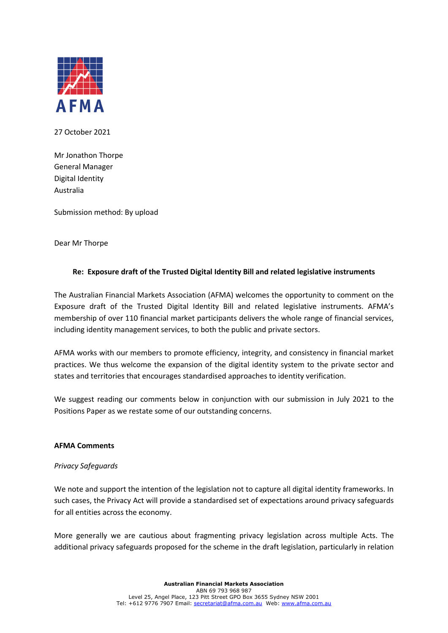

27 October 2021

Mr Jonathon Thorpe General Manager Digital Identity Australia

Submission method: By upload

Dear Mr Thorpe

## **Re: Exposure draft of the Trusted Digital Identity Bill and related legislative instruments**

The Australian Financial Markets Association (AFMA) welcomes the opportunity to comment on the Exposure draft of the Trusted Digital Identity Bill and related legislative instruments. AFMA's membership of over 110 financial market participants delivers the whole range of financial services, including identity management services, to both the public and private sectors.

AFMA works with our members to promote efficiency, integrity, and consistency in financial market practices. We thus welcome the expansion of the digital identity system to the private sector and states and territories that encourages standardised approaches to identity verification.

We suggest reading our comments below in conjunction with our submission in July 2021 to the Positions Paper as we restate some of our outstanding concerns.

### **AFMA Comments**

### *Privacy Safeguards*

We note and support the intention of the legislation not to capture all digital identity frameworks. In such cases, the Privacy Act will provide a standardised set of expectations around privacy safeguards for all entities across the economy.

More generally we are cautious about fragmenting privacy legislation across multiple Acts. The additional privacy safeguards proposed for the scheme in the draft legislation, particularly in relation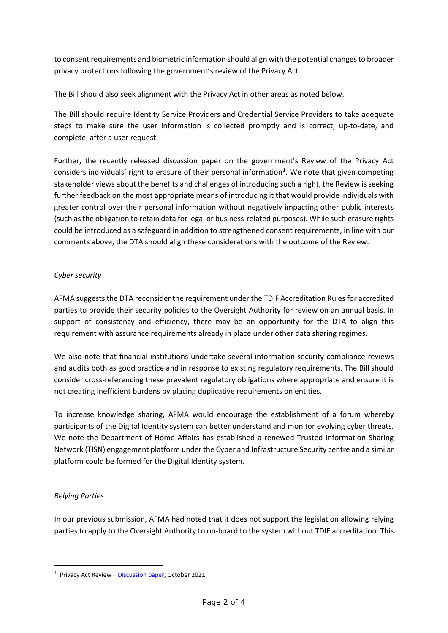to consent requirements and biometric information should align with the potential changes to broader privacy protections following the government's review of the Privacy Act.

The Bill should also seek alignment with the Privacy Act in other areas as noted below.

The Bill should require Identity Service Providers and Credential Service Providers to take adequate steps to make sure the user information is collected promptly and is correct, up-to-date, and complete, after a user request.

Further, the recently released discussion paper on the government's Review of the Privacy Act considers individuals' right to erasure of their personal information<sup>[1](#page-1-0)</sup>. We note that given competing stakeholder views about the benefits and challenges of introducing such a right, the Review is seeking further feedback on the most appropriate means of introducing it that would provide individuals with greater control over their personal information without negatively impacting other public interests (such as the obligation to retain data for legal or business-related purposes). While such erasure rights could be introduced as a safeguard in addition to strengthened consent requirements, in line with our comments above, the DTA should align these considerations with the outcome of the Review.

# *Cyber security*

AFMA suggests the DTA reconsider the requirement under the TDIF Accreditation Rules for accredited parties to provide their security policies to the Oversight Authority for review on an annual basis. In support of consistency and efficiency, there may be an opportunity for the DTA to align this requirement with assurance requirements already in place under other data sharing regimes.

We also note that financial institutions undertake several information security compliance reviews and audits both as good practice and in response to existing regulatory requirements. The Bill should consider cross-referencing these prevalent regulatory obligations where appropriate and ensure it is not creating inefficient burdens by placing duplicative requirements on entities.

To increase knowledge sharing, AFMA would encourage the establishment of a forum whereby participants of the Digital Identity system can better understand and monitor evolving cyber threats. We note the Department of Home Affairs has established a renewed Trusted Information Sharing Network (TISN) engagement platform under the Cyber and Infrastructure Security centre and a similar platform could be formed for the Digital Identity system.

# *Relying Parties*

In our previous submission, AFMA had noted that it does not support the legislation allowing relying parties to apply to the Oversight Authority to on-board to the system without TDIF accreditation. This

<span id="page-1-0"></span> $1$  Privacy Act Review – [Discussion paper,](https://consultations.ag.gov.au/rights-and-protections/privacy-act-review-discussion-paper/user_uploads/privacy-act-review---discussion-paper.pdf) October 2021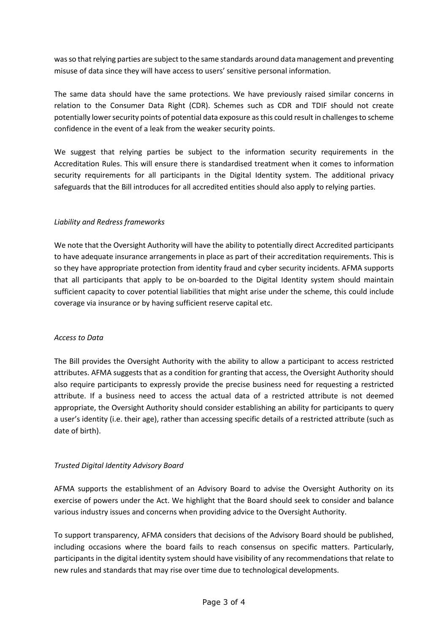was so that relying parties are subject to the same standards around data management and preventing misuse of data since they will have access to users' sensitive personal information.

The same data should have the same protections. We have previously raised similar concerns in relation to the Consumer Data Right (CDR). Schemes such as CDR and TDIF should not create potentially lower security points of potential data exposure as this could result in challenges to scheme confidence in the event of a leak from the weaker security points.

We suggest that relying parties be subject to the information security requirements in the Accreditation Rules. This will ensure there is standardised treatment when it comes to information security requirements for all participants in the Digital Identity system. The additional privacy safeguards that the Bill introduces for all accredited entities should also apply to relying parties.

## *Liability and Redress frameworks*

We note that the Oversight Authority will have the ability to potentially direct Accredited participants to have adequate insurance arrangements in place as part of their accreditation requirements. This is so they have appropriate protection from identity fraud and cyber security incidents. AFMA supports that all participants that apply to be on-boarded to the Digital Identity system should maintain sufficient capacity to cover potential liabilities that might arise under the scheme, this could include coverage via insurance or by having sufficient reserve capital etc.

### *Access to Data*

The Bill provides the Oversight Authority with the ability to allow a participant to access restricted attributes. AFMA suggests that as a condition for granting that access, the Oversight Authority should also require participants to expressly provide the precise business need for requesting a restricted attribute. If a business need to access the actual data of a restricted attribute is not deemed appropriate, the Oversight Authority should consider establishing an ability for participants to query a user's identity (i.e. their age), rather than accessing specific details of a restricted attribute (such as date of birth).

# *Trusted Digital Identity Advisory Board*

AFMA supports the establishment of an Advisory Board to advise the Oversight Authority on its exercise of powers under the Act. We highlight that the Board should seek to consider and balance various industry issues and concerns when providing advice to the Oversight Authority.

To support transparency, AFMA considers that decisions of the Advisory Board should be published, including occasions where the board fails to reach consensus on specific matters. Particularly, participants in the digital identity system should have visibility of any recommendations that relate to new rules and standards that may rise over time due to technological developments.